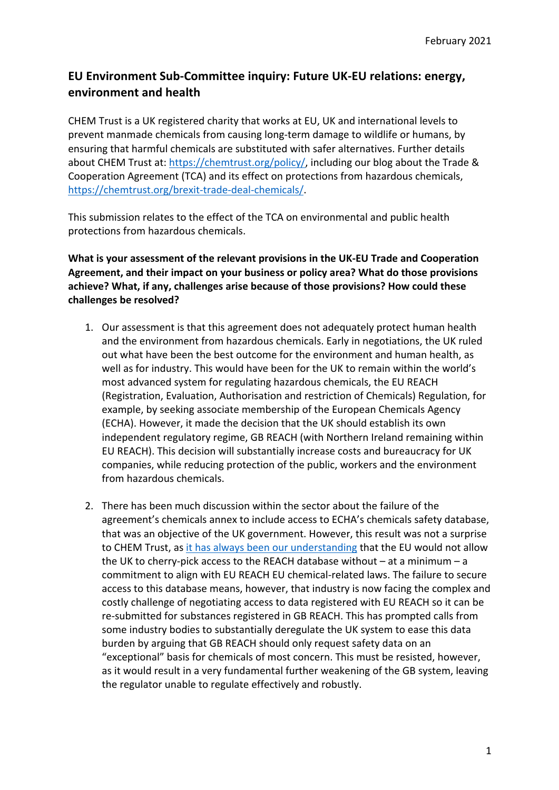## **EU Environment Sub-Committee inquiry: Future UK-EU relations: energy, environment and health**

CHEM Trust is a UK registered charity that works at EU, UK and international levels to prevent manmade chemicals from causing long-term damage to wildlife or humans, by ensuring that harmful chemicals are substituted with safer alternatives. Further details about CHEM Trust at: https://chemtrust.org/policy/, including our blog about the Trade & Cooperation Agreement (TCA) and its effect on protections from hazardous chemicals, https://chemtrust.org/brexit-trade-deal-chemicals/.

This submission relates to the effect of the TCA on environmental and public health protections from hazardous chemicals.

**What is your assessment of the relevant provisions in the UK-EU Trade and Cooperation Agreement, and their impact on your business or policy area? What do those provisions achieve? What, if any, challenges arise because of those provisions? How could these challenges be resolved?**

- 1. Our assessment is that this agreement does not adequately protect human health and the environment from hazardous chemicals. Early in negotiations, the UK ruled out what have been the best outcome for the environment and human health, as well as for industry. This would have been for the UK to remain within the world's most advanced system for regulating hazardous chemicals, the EU REACH (Registration, Evaluation, Authorisation and restriction of Chemicals) Regulation, for example, by seeking associate membership of the European Chemicals Agency (ECHA). However, it made the decision that the UK should establish its own independent regulatory regime, GB REACH (with Northern Ireland remaining within EU REACH). This decision will substantially increase costs and bureaucracy for UK companies, while reducing protection of the public, workers and the environment from hazardous chemicals.
- 2. There has been much discussion within the sector about the failure of the agreement's chemicals annex to include access to ECHA's chemicals safety database, that was an objective of the UK government. However, this result was not a surprise to CHEM Trust, as it has always been our understanding that the EU would not allow the UK to cherry-pick access to the REACH database without – at a minimum – a commitment to align with EU REACH EU chemical-related laws. The failure to secure access to this database means, however, that industry is now facing the complex and costly challenge of negotiating access to data registered with EU REACH so it can be re-submitted for substances registered in GB REACH. This has prompted calls from some industry bodies to substantially deregulate the UK system to ease this data burden by arguing that GB REACH should only request safety data on an "exceptional" basis for chemicals of most concern. This must be resisted, however, as it would result in a very fundamental further weakening of the GB system, leaving the regulator unable to regulate effectively and robustly.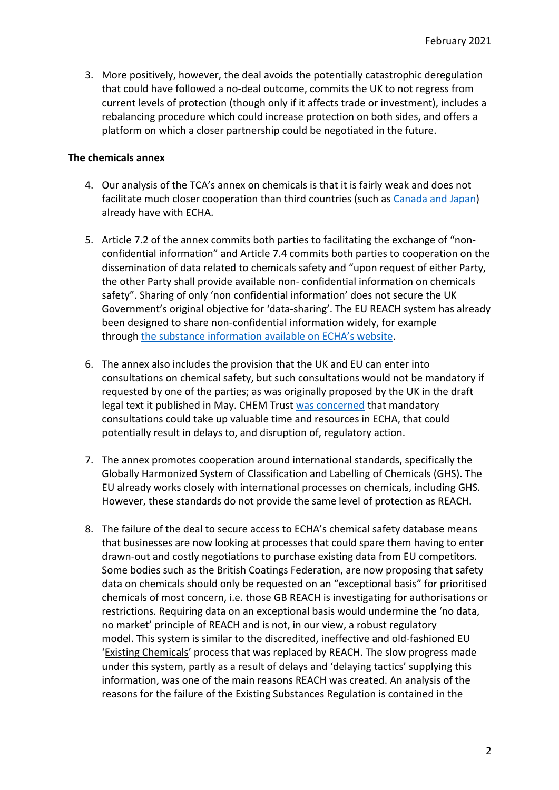3. More positively, however, the deal avoids the potentially catastrophic deregulation that could have followed a no-deal outcome, commits the UK to not regress from current levels of protection (though only if it affects trade or investment), includes a rebalancing procedure which could increase protection on both sides, and offers a platform on which a closer partnership could be negotiated in the future.

## **The chemicals annex**

- 4. Our analysis of the TCA's annex on chemicals is that it is fairly weak and does not facilitate much closer cooperation than third countries (such as Canada and Japan) already have with ECHA.
- 5. Article 7.2 of the annex commits both parties to facilitating the exchange of "nonconfidential information" and Article 7.4 commits both parties to cooperation on the dissemination of data related to chemicals safety and "upon request of either Party, the other Party shall provide available non- confidential information on chemicals safety". Sharing of only 'non confidential information' does not secure the UK Government's original objective for 'data-sharing'. The EU REACH system has already been designed to share non-confidential information widely, for example through the substance information available on ECHA's website.
- 6. The annex also includes the provision that the UK and EU can enter into consultations on chemical safety, but such consultations would not be mandatory if requested by one of the parties; as was originally proposed by the UK in the draft legal text it published in May. CHEM Trust was concerned that mandatory consultations could take up valuable time and resources in ECHA, that could potentially result in delays to, and disruption of, regulatory action.
- 7. The annex promotes cooperation around international standards, specifically the Globally Harmonized System of Classification and Labelling of Chemicals (GHS). The EU already works closely with international processes on chemicals, including GHS. However, these standards do not provide the same level of protection as REACH.
- 8. The failure of the deal to secure access to ECHA's chemical safety database means that businesses are now looking at processes that could spare them having to enter drawn-out and costly negotiations to purchase existing data from EU competitors. Some bodies such as the British Coatings Federation, are now proposing that safety data on chemicals should only be requested on an "exceptional basis" for prioritised chemicals of most concern, i.e. those GB REACH is investigating for authorisations or restrictions. Requiring data on an exceptional basis would undermine the 'no data, no market' principle of REACH and is not, in our view, a robust regulatory model. This system is similar to the discredited, ineffective and old-fashioned EU 'Existing Chemicals' process that was replaced by REACH. The slow progress made under this system, partly as a result of delays and 'delaying tactics' supplying this information, was one of the main reasons REACH was created. An analysis of the reasons for the failure of the Existing Substances Regulation is contained in the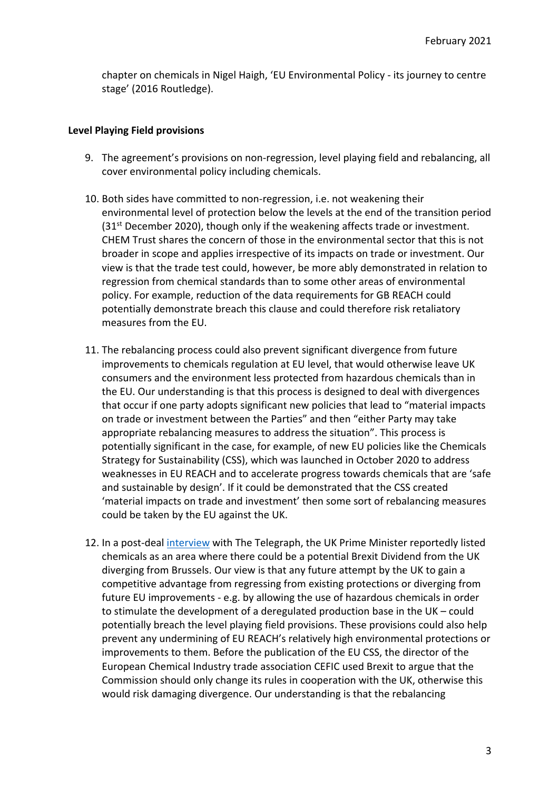chapter on chemicals in Nigel Haigh, 'EU Environmental Policy - its journey to centre stage' (2016 Routledge).

## **Level Playing Field provisions**

- 9. The agreement's provisions on non-regression, level playing field and rebalancing, all cover environmental policy including chemicals.
- 10. Both sides have committed to non-regression, i.e. not weakening their environmental level of protection below the levels at the end of the transition period  $(31<sup>st</sup>$  December 2020), though only if the weakening affects trade or investment. CHEM Trust shares the concern of those in the environmental sector that this is not broader in scope and applies irrespective of its impacts on trade or investment. Our view is that the trade test could, however, be more ably demonstrated in relation to regression from chemical standards than to some other areas of environmental policy. For example, reduction of the data requirements for GB REACH could potentially demonstrate breach this clause and could therefore risk retaliatory measures from the EU.
- 11. The rebalancing process could also prevent significant divergence from future improvements to chemicals regulation at EU level, that would otherwise leave UK consumers and the environment less protected from hazardous chemicals than in the EU. Our understanding is that this process is designed to deal with divergences that occur if one party adopts significant new policies that lead to "material impacts on trade or investment between the Parties" and then "either Party may take appropriate rebalancing measures to address the situation". This process is potentially significant in the case, for example, of new EU policies like the Chemicals Strategy for Sustainability (CSS), which was launched in October 2020 to address weaknesses in EU REACH and to accelerate progress towards chemicals that are 'safe and sustainable by design'. If it could be demonstrated that the CSS created 'material impacts on trade and investment' then some sort of rebalancing measures could be taken by the EU against the UK.
- 12. In a post-deal interview with The Telegraph, the UK Prime Minister reportedly listed chemicals as an area where there could be a potential Brexit Dividend from the UK diverging from Brussels. Our view is that any future attempt by the UK to gain a competitive advantage from regressing from existing protections or diverging from future EU improvements - e.g. by allowing the use of hazardous chemicals in order to stimulate the development of a deregulated production base in the UK – could potentially breach the level playing field provisions. These provisions could also help prevent any undermining of EU REACH's relatively high environmental protections or improvements to them. Before the publication of the EU CSS, the director of the European Chemical Industry trade association CEFIC used Brexit to argue that the Commission should only change its rules in cooperation with the UK, otherwise this would risk damaging divergence. Our understanding is that the rebalancing